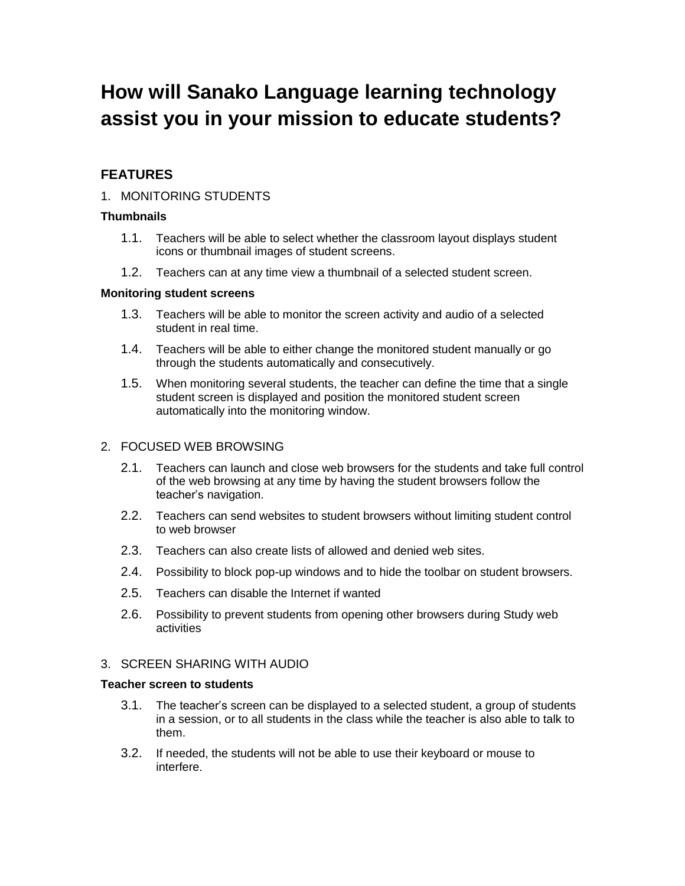# **How will Sanako Language learning technology assist you in your mission to educate students?**

## **FEATURES**

## 1. MONITORING STUDENTS

#### **Thumbnails**

- 1.1. Teachers will be able to select whether the classroom layout displays student icons or thumbnail images of student screens.
- 1.2. Teachers can at any time view a thumbnail of a selected student screen.

#### **Monitoring student screens**

- 1.3. Teachers will be able to monitor the screen activity and audio of a selected student in real time.
- 1.4. Teachers will be able to either change the monitored student manually or go through the students automatically and consecutively.
- 1.5. When monitoring several students, the teacher can define the time that a single student screen is displayed and position the monitored student screen automatically into the monitoring window.

## 2. FOCUSED WEB BROWSING

- 2.1. Teachers can launch and close web browsers for the students and take full control of the web browsing at any time by having the student browsers follow the teacher's navigation.
- 2.2. Teachers can send websites to student browsers without limiting student control to web browser
- 2.3. Teachers can also create lists of allowed and denied web sites.
- 2.4. Possibility to block pop-up windows and to hide the toolbar on student browsers.
- 2.5. Teachers can disable the Internet if wanted
- 2.6. Possibility to prevent students from opening other browsers during Study web activities

## 3. SCREEN SHARING WITH AUDIO

#### **Teacher screen to students**

- 3.1. The teacher's screen can be displayed to a selected student, a group of students in a session, or to all students in the class while the teacher is also able to talk to them.
- 3.2. If needed, the students will not be able to use their keyboard or mouse to interfere.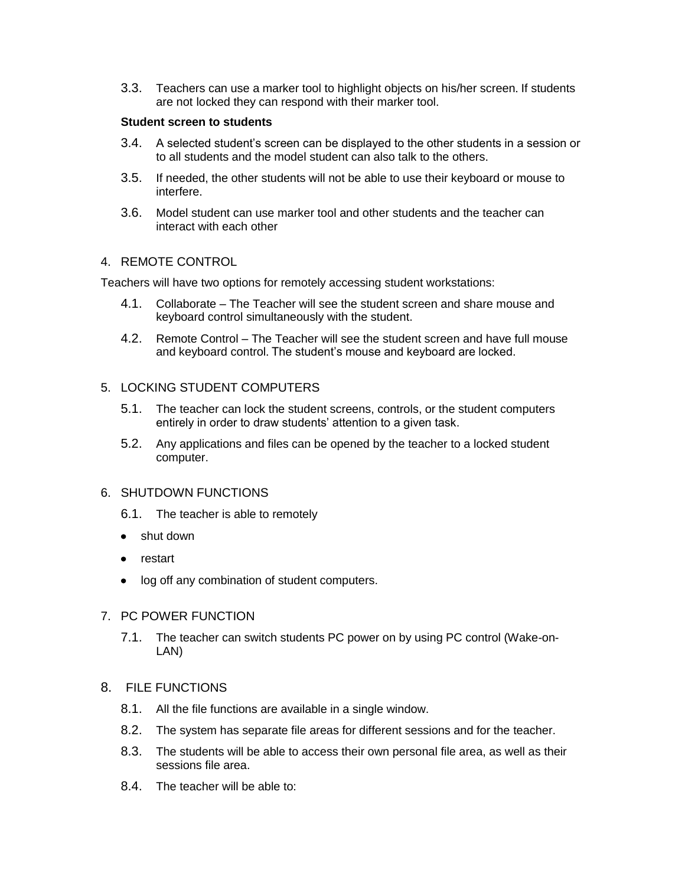3.3. Teachers can use a marker tool to highlight objects on his/her screen. If students are not locked they can respond with their marker tool.

#### **Student screen to students**

- 3.4. A selected student's screen can be displayed to the other students in a session or to all students and the model student can also talk to the others.
- 3.5. If needed, the other students will not be able to use their keyboard or mouse to interfere.
- 3.6. Model student can use marker tool and other students and the teacher can interact with each other

#### 4. REMOTE CONTROL

Teachers will have two options for remotely accessing student workstations:

- 4.1. Collaborate The Teacher will see the student screen and share mouse and keyboard control simultaneously with the student.
- 4.2. Remote Control The Teacher will see the student screen and have full mouse and keyboard control. The student's mouse and keyboard are locked.

#### 5. LOCKING STUDENT COMPUTERS

- 5.1. The teacher can lock the student screens, controls, or the student computers entirely in order to draw students' attention to a given task.
- 5.2. Any applications and files can be opened by the teacher to a locked student computer.

#### 6. SHUTDOWN FUNCTIONS

- 6.1. The teacher is able to remotely
- shut down
- restart
- log off any combination of student computers.

### 7. PC POWER FUNCTION

7.1. The teacher can switch students PC power on by using PC control (Wake-on-LAN)

### 8. FILE FUNCTIONS

- 8.1. All the file functions are available in a single window.
- 8.2. The system has separate file areas for different sessions and for the teacher.
- 8.3. The students will be able to access their own personal file area, as well as their sessions file area.
- 8.4. The teacher will be able to: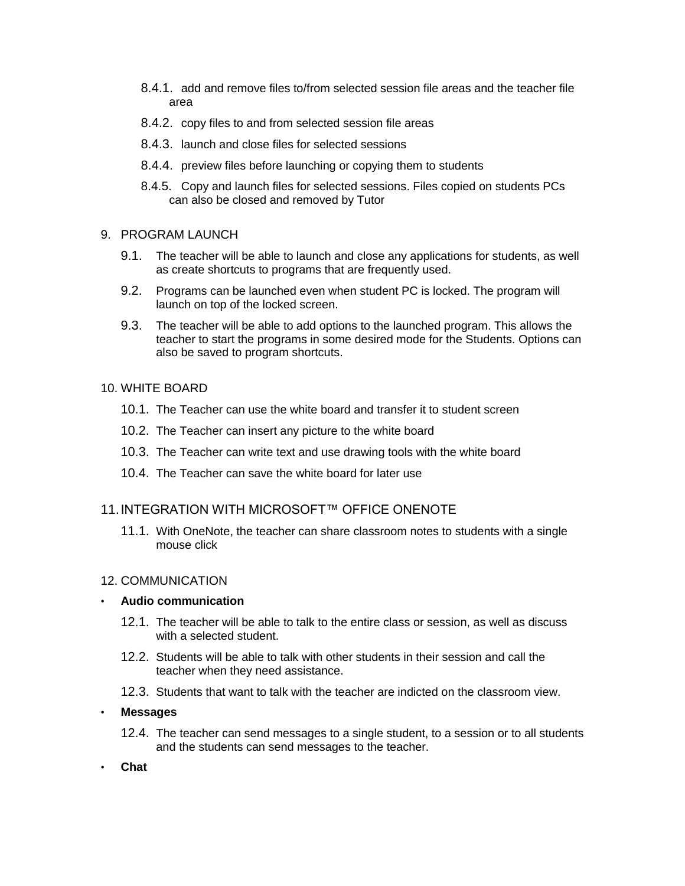- 8.4.1. add and remove files to/from selected session file areas and the teacher file area
- 8.4.2. copy files to and from selected session file areas
- 8.4.3. launch and close files for selected sessions
- 8.4.4. preview files before launching or copying them to students
- 8.4.5. Copy and launch files for selected sessions. Files copied on students PCs can also be closed and removed by Tutor

#### 9. PROGRAM LAUNCH

- 9.1. The teacher will be able to launch and close any applications for students, as well as create shortcuts to programs that are frequently used.
- 9.2. Programs can be launched even when student PC is locked. The program will launch on top of the locked screen.
- 9.3. The teacher will be able to add options to the launched program. This allows the teacher to start the programs in some desired mode for the Students. Options can also be saved to program shortcuts.

#### 10. WHITE BOARD

- 10.1. The Teacher can use the white board and transfer it to student screen
- 10.2. The Teacher can insert any picture to the white board
- 10.3. The Teacher can write text and use drawing tools with the white board
- 10.4. The Teacher can save the white board for later use

#### 11.INTEGRATION WITH MICROSOFT™ OFFICE ONENOTE

11.1. With OneNote, the teacher can share classroom notes to students with a single mouse click

#### 12. COMMUNICATION

#### • **Audio communication**

- 12.1. The teacher will be able to talk to the entire class or session, as well as discuss with a selected student.
- 12.2. Students will be able to talk with other students in their session and call the teacher when they need assistance.
- 12.3. Students that want to talk with the teacher are indicted on the classroom view.

#### • **Messages**

- 12.4. The teacher can send messages to a single student, to a session or to all students and the students can send messages to the teacher.
- **Chat**